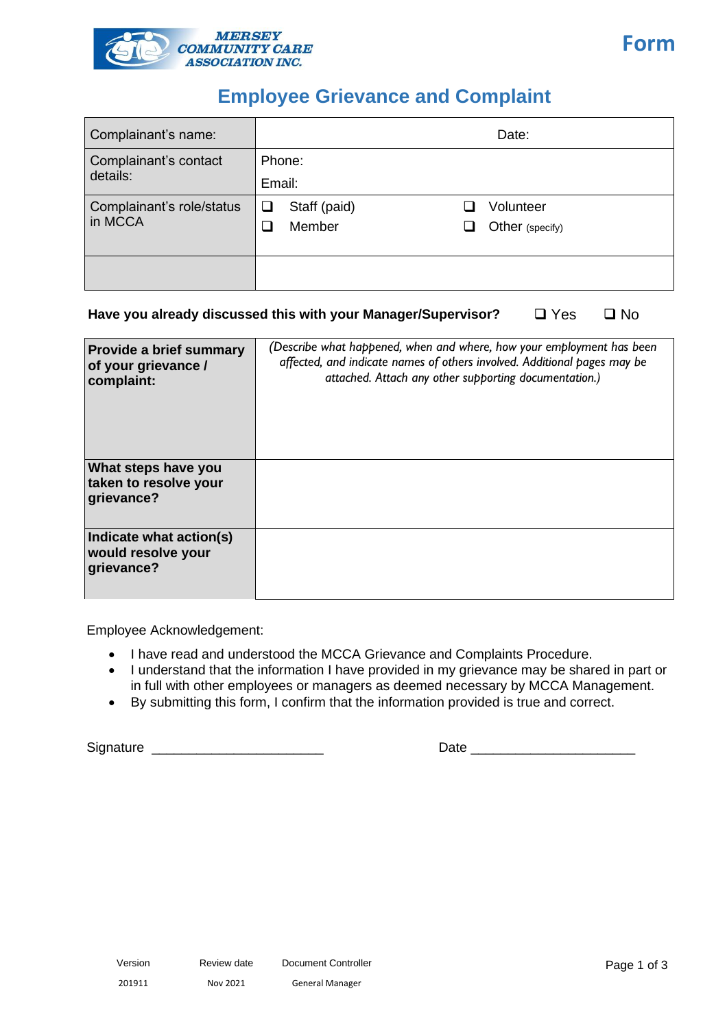

## **Employee Grievance and Complaint**

| Complainant's name:                  | Date:                   |                 |  |
|--------------------------------------|-------------------------|-----------------|--|
| Complainant's contact<br>details:    | Phone:                  |                 |  |
|                                      | Email:                  |                 |  |
| Complainant's role/status<br>in MCCA | Staff (paid)<br>$\Box$  | Volunteer       |  |
|                                      | Member<br>$\mathcal{A}$ | Other (specify) |  |
|                                      |                         |                 |  |
|                                      |                         |                 |  |
|                                      |                         |                 |  |

## **Have you already discussed this with your Manager/Supervisor?** ❑ Yes ❑ No

| <b>Provide a brief summary</b><br>of your grievance /<br>complaint: | (Describe what happened, when and where, how your employment has been<br>affected, and indicate names of others involved. Additional pages may be<br>attached. Attach any other supporting documentation.) |
|---------------------------------------------------------------------|------------------------------------------------------------------------------------------------------------------------------------------------------------------------------------------------------------|
| What steps have you<br>taken to resolve your<br>grievance?          |                                                                                                                                                                                                            |
| Indicate what action(s)<br>would resolve your<br>grievance?         |                                                                                                                                                                                                            |

Employee Acknowledgement:

- I have read and understood the MCCA Grievance and Complaints Procedure.
- I understand that the information I have provided in my grievance may be shared in part or in full with other employees or managers as deemed necessary by MCCA Management.
- By submitting this form, I confirm that the information provided is true and correct.

Signature \_\_\_\_\_\_\_\_\_\_\_\_\_\_\_\_\_\_\_\_\_\_\_ Date \_\_\_\_\_\_\_\_\_\_\_\_\_\_\_\_\_\_\_\_\_\_

**Form**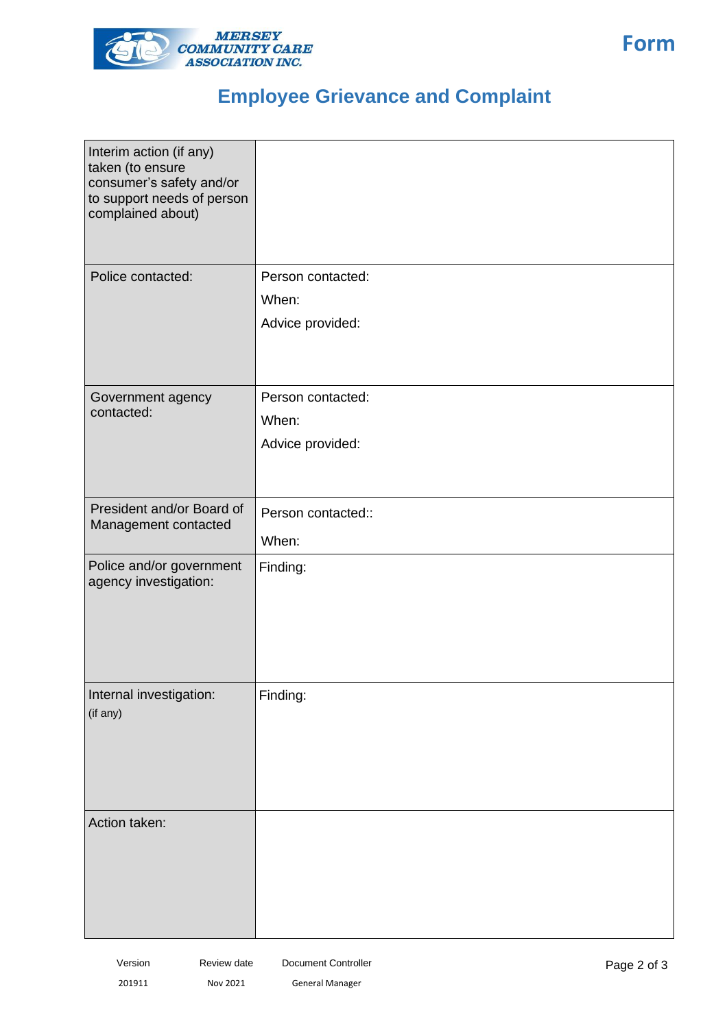

## **Employee Grievance and Complaint**

| Interim action (if any)<br>taken (to ensure<br>consumer's safety and/or<br>to support needs of person<br>complained about) |                           |
|----------------------------------------------------------------------------------------------------------------------------|---------------------------|
| Police contacted:                                                                                                          | Person contacted:         |
|                                                                                                                            | When:<br>Advice provided: |
|                                                                                                                            |                           |
| Government agency                                                                                                          | Person contacted:         |
| contacted:                                                                                                                 | When:                     |
|                                                                                                                            | Advice provided:          |
|                                                                                                                            |                           |
| President and/or Board of                                                                                                  | Person contacted::        |
| Management contacted                                                                                                       | When:                     |
| Police and/or government<br>agency investigation:                                                                          | Finding:                  |
| Internal investigation:<br>(if any)                                                                                        | Finding:                  |
|                                                                                                                            |                           |
|                                                                                                                            |                           |
|                                                                                                                            |                           |
| Action taken:                                                                                                              |                           |
|                                                                                                                            |                           |
|                                                                                                                            |                           |